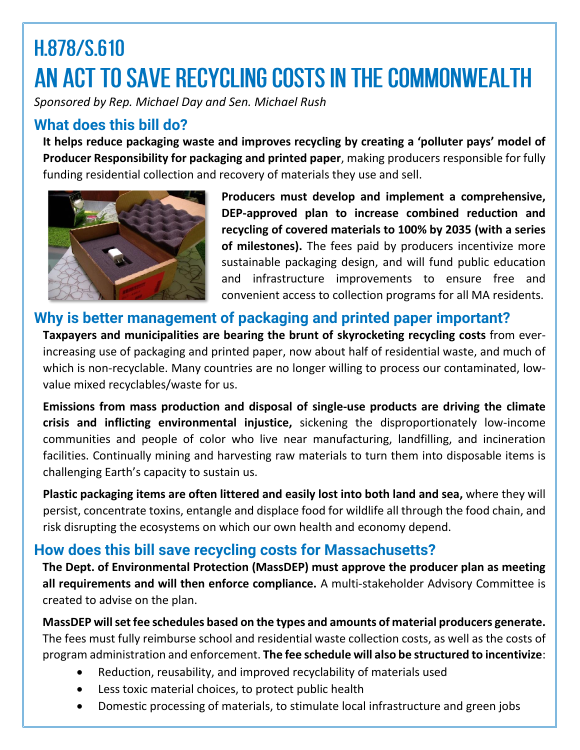# H.878/S.610 AN ACT TO SAVE RECYCLING COSTS IN THE COMMONWEALTH

*Sponsored by Rep. Michael Day and Sen. Michael Rush*

#### **What does this bill do?**

**It helps reduce packaging waste and improves recycling by creating a 'polluter pays' model of Producer Responsibility for packaging and printed paper**, making producers responsible for fully funding residential collection and recovery of materials they use and sell.



**Producers must develop and implement a comprehensive, DEP-approved plan to increase combined reduction and recycling of covered materials to 100% by 2035 (with a series of milestones).** The fees paid by producers incentivize more sustainable packaging design, and will fund public education and infrastructure improvements to ensure free and convenient access to collection programs for all MA residents.

### **Why is better management of packaging and printed paper important?**

**Taxpayers and municipalities are bearing the brunt of skyrocketing recycling costs** from everincreasing use of packaging and printed paper, now about half of residential waste, and much of which is non-recyclable. Many countries are no longer willing to process our contaminated, lowvalue mixed recyclables/waste for us.

**Emissions from mass production and disposal of single-use products are driving the climate crisis and inflicting environmental injustice,** sickening the disproportionately low-income communities and people of color who live near manufacturing, landfilling, and incineration facilities. Continually mining and harvesting raw materials to turn them into disposable items is challenging Earth's capacity to sustain us.

**Plastic packaging items are often littered and easily lost into both land and sea,** where they will persist, concentrate toxins, entangle and displace food for wildlife all through the food chain, and risk disrupting the ecosystems on which our own health and economy depend.

#### **How does this bill save recycling costs for Massachusetts?**

**The Dept. of Environmental Protection (MassDEP) must approve the producer plan as meeting all requirements and will then enforce compliance.** A multi-stakeholder Advisory Committee is created to advise on the plan.

**MassDEP willsetfee schedules based on the types and amounts of material producers generate.**  The fees must fully reimburse school and residential waste collection costs, as well as the costs of program administration and enforcement. **The fee schedule will also be structured to incentivize**:

- Reduction, reusability, and improved recyclability of materials used
- Less toxic material choices, to protect public health
- Domestic processing of materials, to stimulate local infrastructure and green jobs